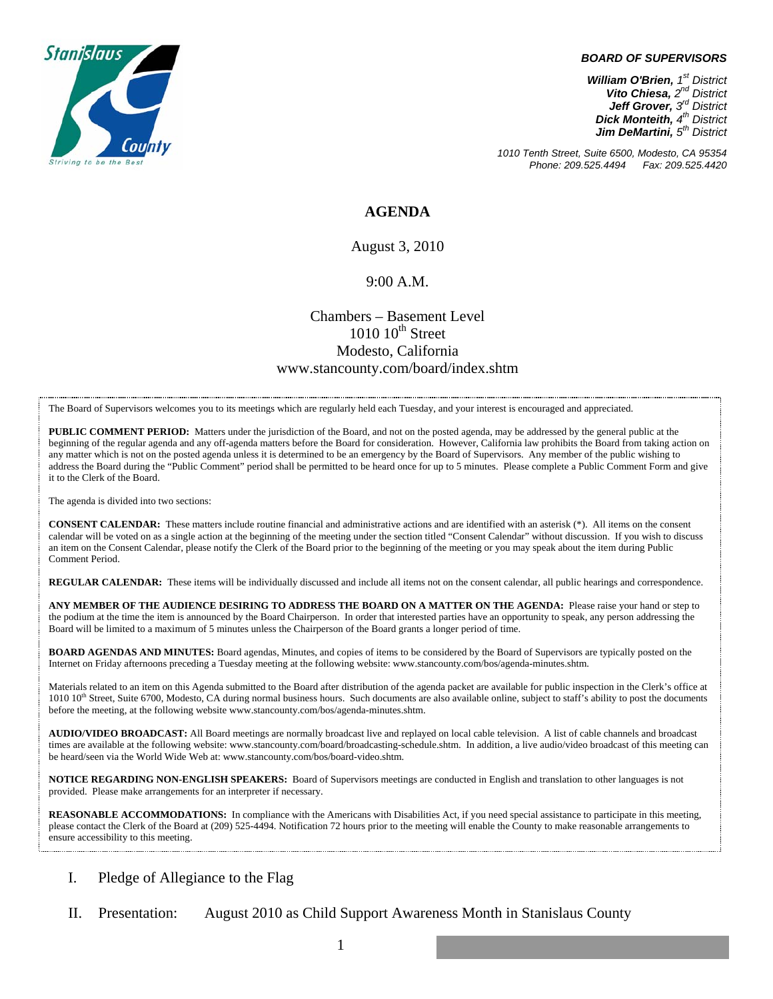

#### *BOARD OF SUPERVISORS*

*William O'Brien, 1st District Vito Chiesa, 2nd District Jeff Grover, 3rd District Dick Monteith, 4th District Jim DeMartini*,  $5<sup>th</sup>$  District

*1010 Tenth Street, Suite 6500, Modesto, CA 95354 Phone: 209.525.4494* 

#### **AGENDA**

August 3, 2010

#### 9:00 A.M.

### Chambers – Basement Level  $1010$   $10^{th}$  Street Modesto, California www.stancounty.com/board/index.shtm

The Board of Supervisors welcomes you to its meetings which are regularly held each Tuesday, and your interest is encouraged and appreciated.

**PUBLIC COMMENT PERIOD:** Matters under the jurisdiction of the Board, and not on the posted agenda, may be addressed by the general public at the beginning of the regular agenda and any off-agenda matters before the Board for consideration. However, California law prohibits the Board from taking action on any matter which is not on the posted agenda unless it is determined to be an emergency by the Board of Supervisors. Any member of the public wishing to address the Board during the "Public Comment" period shall be permitted to be heard once for up to 5 minutes. Please complete a Public Comment Form and give it to the Clerk of the Board.

The agenda is divided into two sections:

**CONSENT CALENDAR:** These matters include routine financial and administrative actions and are identified with an asterisk (\*). All items on the consent calendar will be voted on as a single action at the beginning of the meeting under the section titled "Consent Calendar" without discussion. If you wish to discuss an item on the Consent Calendar, please notify the Clerk of the Board prior to the beginning of the meeting or you may speak about the item during Public Comment Period.

**REGULAR CALENDAR:** These items will be individually discussed and include all items not on the consent calendar, all public hearings and correspondence.

**ANY MEMBER OF THE AUDIENCE DESIRING TO ADDRESS THE BOARD ON A MATTER ON THE AGENDA:** Please raise your hand or step to the podium at the time the item is announced by the Board Chairperson. In order that interested parties have an opportunity to speak, any person addressing the Board will be limited to a maximum of 5 minutes unless the Chairperson of the Board grants a longer period of time.

**BOARD AGENDAS AND MINUTES:** Board agendas, Minutes, and copies of items to be considered by the Board of Supervisors are typically posted on the Internet on Friday afternoons preceding a Tuesday meeting at the following website: www.stancounty.com/bos/agenda-minutes.shtm.

Materials related to an item on this Agenda submitted to the Board after distribution of the agenda packet are available for public inspection in the Clerk's office at 1010 10<sup>th</sup> Street, Suite 6700, Modesto, CA during normal business hours. Such documents are also available online, subject to staff's ability to post the documents before the meeting, at the following website www.stancounty.com/bos/agenda-minutes.shtm.

**AUDIO/VIDEO BROADCAST:** All Board meetings are normally broadcast live and replayed on local cable television. A list of cable channels and broadcast times are available at the following website: www.stancounty.com/board/broadcasting-schedule.shtm. In addition, a live audio/video broadcast of this meeting can be heard/seen via the World Wide Web at: www.stancounty.com/bos/board-video.shtm.

**NOTICE REGARDING NON-ENGLISH SPEAKERS:** Board of Supervisors meetings are conducted in English and translation to other languages is not provided. Please make arrangements for an interpreter if necessary.

**REASONABLE ACCOMMODATIONS:** In compliance with the Americans with Disabilities Act, if you need special assistance to participate in this meeting, please contact the Clerk of the Board at (209) 525-4494. Notification 72 hours prior to the meeting will enable the County to make reasonable arrangements to ensure accessibility to this meeting.

- I. Pledge of Allegiance to the Flag
- II. Presentation: August 2010 as Child Support Awareness Month in Stanislaus County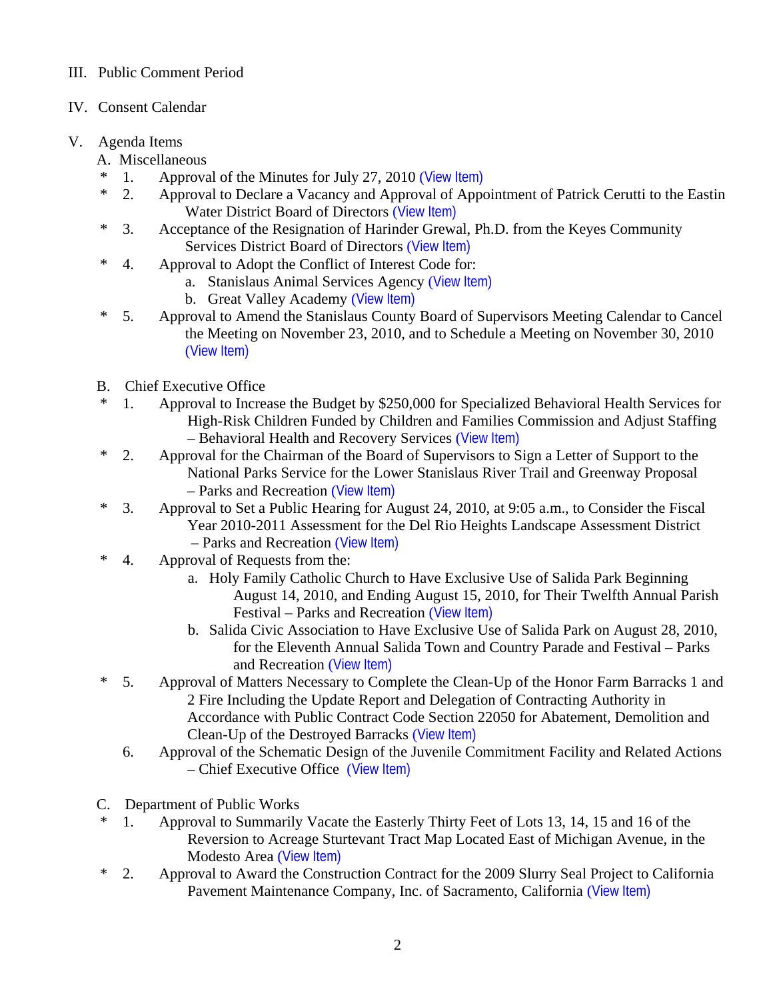## III. Public Comment Period

## IV. Consent Calendar

## V. Agenda Items

- A. Miscellaneous
- \* 1. Approval of the Minutes for July 27, 2010 ([View Item\)](http://www.stancounty.com/bos/minutes/2010/min07-27-10.pdf)
- \* 2. Approval to Declare a Vacancy and Approval of Appointment of Patrick Cerutti to the Eastin Water District Board of Directors ([View Item\)](http://www.stancounty.com/bos/agenda/2010/20100803/A02.pdf)
- \* 3. Acceptance of the Resignation of Harinder Grewal, Ph.D. from the Keyes Community Services District Board of Directors ([View Item\)](http://www.stancounty.com/bos/agenda/2010/20100803/A03.pdf)
- \* 4. Approval to Adopt the Conflict of Interest Code for:
	- a. Stanislaus Animal Services Agency ([View Item\)](http://www.stancounty.com/bos/agenda/2010/20100803/A04a.pdf)
	- b. Great Valley Academy ([View Item\)](http://www.stancounty.com/bos/agenda/2010/20100803/A04b.pdf)
- \* 5. Approval to Amend the Stanislaus County Board of Supervisors Meeting Calendar to Cancel the Meeting on November 23, 2010, and to Schedule a Meeting on November 30, 2010 ([View Item\)](http://www.stancounty.com/bos/agenda/2010/20100803/A05.pdf)
- B. Chief Executive Office
- \* 1. Approval to Increase the Budget by \$250,000 for Specialized Behavioral Health Services for High-Risk Children Funded by Children and Families Commission and Adjust Staffing – Behavioral Health and Recovery Services ([View Item\)](http://www.stancounty.com/bos/agenda/2010/20100803/B01.pdf)
- \* 2. Approval for the Chairman of the Board of Supervisors to Sign a Letter of Support to the National Parks Service for the Lower Stanislaus River Trail and Greenway Proposal – Parks and Recreation ([View Item\)](http://www.stancounty.com/bos/agenda/2010/20100803/B02.pdf)
- \* 3. Approval to Set a Public Hearing for August 24, 2010, at 9:05 a.m., to Consider the Fiscal Year 2010-2011 Assessment for the Del Rio Heights Landscape Assessment District – Parks and Recreation ([View Item\)](http://www.stancounty.com/bos/agenda/2010/20100803/B03.pdf)
- \* 4. Approval of Requests from the:
	- a. Holy Family Catholic Church to Have Exclusive Use of Salida Park Beginning August 14, 2010, and Ending August 15, 2010, for Their Twelfth Annual Parish Festival – Parks and Recreation ([View Item\)](http://www.stancounty.com/bos/agenda/2010/20100803/B04a.pdf)
	- b. Salida Civic Association to Have Exclusive Use of Salida Park on August 28, 2010, for the Eleventh Annual Salida Town and Country Parade and Festival – Parks and Recreation ([View Item\)](http://www.stancounty.com/bos/agenda/2010/20100803/B04b.pdf)
- \* 5. Approval of Matters Necessary to Complete the Clean-Up of the Honor Farm Barracks 1 and 2 Fire Including the Update Report and Delegation of Contracting Authority in Accordance with Public Contract Code Section 22050 for Abatement, Demolition and Clean-Up of the Destroyed Barracks ([View Item\)](http://www.stancounty.com/bos/agenda/2010/20100803/B05.pdf)
	- 6. Approval of the Schematic Design of the Juvenile Commitment Facility and Related Actions – Chief Executive Office ([View Item\)](http://www.stancounty.com/bos/agenda/2010/20100803/B06.pdf)
- C. Department of Public Works
- \* 1. Approval to Summarily Vacate the Easterly Thirty Feet of Lots 13, 14, 15 and 16 of the Reversion to Acreage Sturtevant Tract Map Located East of Michigan Avenue, in the Modesto Area ([View Item\)](http://www.stancounty.com/bos/agenda/2010/20100803/C01.pdf)
- \* 2. Approval to Award the Construction Contract for the 2009 Slurry Seal Project to California Pavement Maintenance Company, Inc. of Sacramento, California ([View Item\)](http://www.stancounty.com/bos/agenda/2010/20100803/C02.pdf)